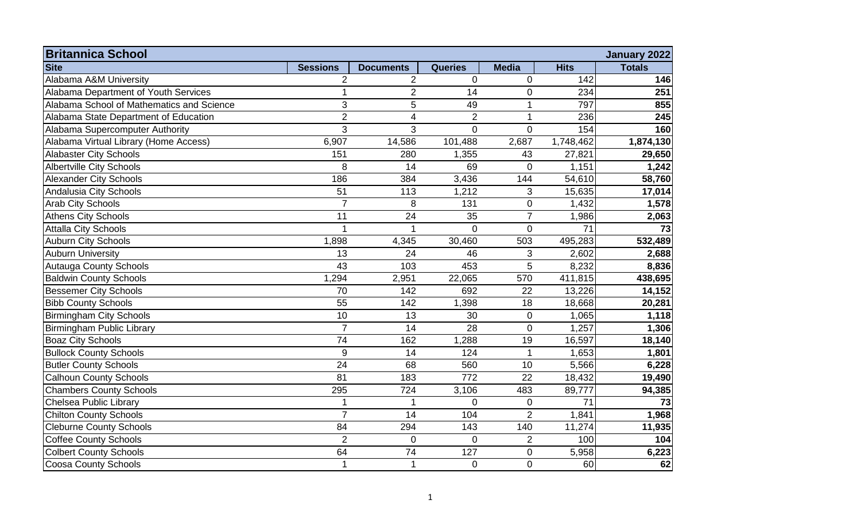| <b>Britannica School</b><br><b>January 2022</b> |                 |                         |                |                |             |                 |  |  |
|-------------------------------------------------|-----------------|-------------------------|----------------|----------------|-------------|-----------------|--|--|
| <b>Site</b>                                     | <b>Sessions</b> | <b>Documents</b>        | <b>Queries</b> | <b>Media</b>   | <b>Hits</b> | <b>Totals</b>   |  |  |
| Alabama A&M University                          | $\overline{2}$  | $\overline{2}$          | 0              | $\pmb{0}$      | 142         | 146             |  |  |
| Alabama Department of Youth Services            | 1               | $\overline{2}$          | 14             | $\pmb{0}$      | 234         | 251             |  |  |
| Alabama School of Mathematics and Science       | 3               | 5                       | 49             | 1              | 797         | 855             |  |  |
| Alabama State Department of Education           | $\overline{2}$  | $\overline{\mathbf{4}}$ | $\overline{2}$ | 1              | 236         | 245             |  |  |
| Alabama Supercomputer Authority                 | $\overline{3}$  | 3                       | $\Omega$       | $\overline{0}$ | 154         | 160             |  |  |
| Alabama Virtual Library (Home Access)           | 6,907           | 14,586                  | 101,488        | 2,687          | 1,748,462   | 1,874,130       |  |  |
| <b>Alabaster City Schools</b>                   | 151             | 280                     | 1,355          | 43             | 27,821      | 29,650          |  |  |
| <b>Albertville City Schools</b>                 | 8               | 14                      | 69             | $\mathbf 0$    | 1,151       | 1,242           |  |  |
| <b>Alexander City Schools</b>                   | 186             | 384                     | 3,436          | 144            | 54,610      | 58,760          |  |  |
| Andalusia City Schools                          | 51              | 113                     | 1,212          | 3              | 15,635      | 17,014          |  |  |
| <b>Arab City Schools</b>                        | $\overline{7}$  | 8                       | 131            | $\mathbf 0$    | 1,432       | 1,578           |  |  |
| <b>Athens City Schools</b>                      | 11              | 24                      | 35             | $\overline{7}$ | 1,986       | 2,063           |  |  |
| <b>Attalla City Schools</b>                     |                 |                         | $\overline{0}$ | $\pmb{0}$      | 71          | $\overline{73}$ |  |  |
| <b>Auburn City Schools</b>                      | 1,898           | 4,345                   | 30,460         | 503            | 495,283     | 532,489         |  |  |
| <b>Auburn University</b>                        | 13              | 24                      | 46             | $\sqrt{3}$     | 2,602       | 2,688           |  |  |
| <b>Autauga County Schools</b>                   | 43              | 103                     | 453            | 5              | 8,232       | 8,836           |  |  |
| <b>Baldwin County Schools</b>                   | 1,294           | 2,951                   | 22,065         | 570            | 411,815     | 438,695         |  |  |
| <b>Bessemer City Schools</b>                    | 70              | 142                     | 692            | 22             | 13,226      | 14,152          |  |  |
| <b>Bibb County Schools</b>                      | 55              | 142                     | 1,398          | 18             | 18,668      | 20,281          |  |  |
| <b>Birmingham City Schools</b>                  | 10              | 13                      | 30             | $\mathbf 0$    | 1,065       | 1,118           |  |  |
| Birmingham Public Library                       | $\overline{7}$  | 14                      | 28             | $\mathbf 0$    | 1,257       | 1,306           |  |  |
| <b>Boaz City Schools</b>                        | 74              | 162                     | 1,288          | 19             | 16,597      | 18,140          |  |  |
| <b>Bullock County Schools</b>                   | 9               | 14                      | 124            | $\overline{1}$ | 1,653       | 1,801           |  |  |
| <b>Butler County Schools</b>                    | $\overline{24}$ | 68                      | 560            | 10             | 5,566       | 6,228           |  |  |
| <b>Calhoun County Schools</b>                   | 81              | 183                     | 772            | 22             | 18,432      | 19,490          |  |  |
| <b>Chambers County Schools</b>                  | 295             | 724                     | 3,106          | 483            | 89,777      | 94,385          |  |  |
| Chelsea Public Library                          | 1               | 1                       | $\overline{0}$ | $\mathbf 0$    | 71          | 73              |  |  |
| <b>Chilton County Schools</b>                   | $\overline{7}$  | $\overline{14}$         | 104            | $\overline{2}$ | 1,841       | 1,968           |  |  |
| <b>Cleburne County Schools</b>                  | 84              | 294                     | 143            | 140            | 11,274      | 11,935          |  |  |
| <b>Coffee County Schools</b>                    | $\overline{2}$  | 0                       | $\pmb{0}$      | $\overline{2}$ | 100         | 104             |  |  |
| <b>Colbert County Schools</b>                   | 64              | $\overline{74}$         | 127            | $\mathbf 0$    | 5,958       | 6,223           |  |  |
| <b>Coosa County Schools</b>                     | $\mathbf{1}$    | 1                       | $\pmb{0}$      | $\mathbf 0$    | 60          | 62              |  |  |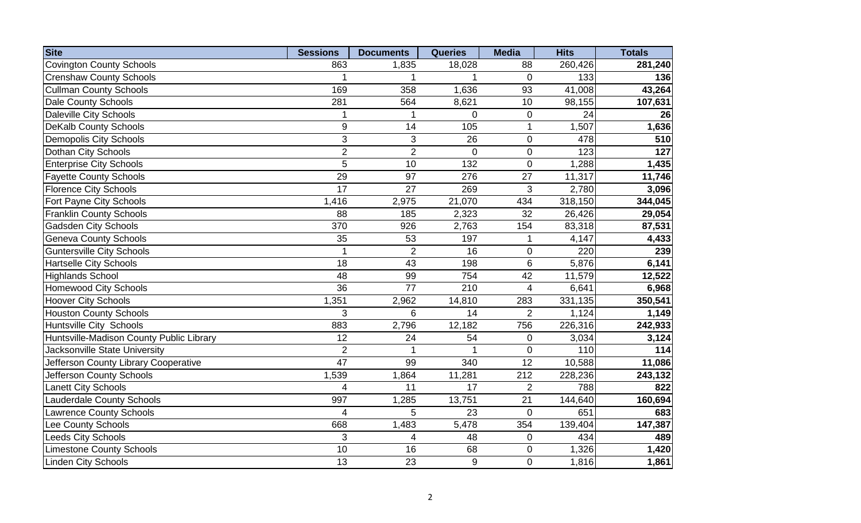| <b>Site</b>                              | <b>Sessions</b>  | <b>Documents</b> | <b>Queries</b> | <b>Media</b>   | <b>Hits</b> | <b>Totals</b> |
|------------------------------------------|------------------|------------------|----------------|----------------|-------------|---------------|
| <b>Covington County Schools</b>          | 863              | 1,835            | 18,028         | 88             | 260,426     | 281,240       |
| <b>Crenshaw County Schools</b>           |                  | 1                |                | $\Omega$       | 133         | 136           |
| <b>Cullman County Schools</b>            | 169              | 358              | 1,636          | 93             | 41,008      | 43,264        |
| Dale County Schools                      | 281              | 564              | 8,621          | 10             | 98,155      | 107,631       |
| <b>Daleville City Schools</b>            | 1                | 1                | $\pmb{0}$      | $\mathbf 0$    | 24          | 26            |
| <b>DeKalb County Schools</b>             | $\boldsymbol{9}$ | 14               | 105            | 1              | 1,507       | 1,636         |
| <b>Demopolis City Schools</b>            | 3                | 3                | 26             | $\mathbf 0$    | 478         | 510           |
| Dothan City Schools                      | $\overline{2}$   | $\overline{2}$   | $\overline{0}$ | $\overline{0}$ | 123         | 127           |
| <b>Enterprise City Schools</b>           | 5                | 10               | 132            | $\pmb{0}$      | 1,288       | 1,435         |
| <b>Fayette County Schools</b>            | 29               | 97               | 276            | 27             | 11,317      | 11,746        |
| <b>Florence City Schools</b>             | 17               | 27               | 269            | 3              | 2,780       | 3,096         |
| Fort Payne City Schools                  | 1,416            | 2,975            | 21,070         | 434            | 318,150     | 344,045       |
| <b>Franklin County Schools</b>           | 88               | 185              | 2,323          | 32             | 26,426      | 29,054        |
| <b>Gadsden City Schools</b>              | 370              | 926              | 2,763          | 154            | 83,318      | 87,531        |
| <b>Geneva County Schools</b>             | 35               | 53               | 197            |                | 4,147       | 4,433         |
| <b>Guntersville City Schools</b>         | 1                | $\overline{2}$   | 16             | $\mathbf 0$    | 220         | 239           |
| <b>Hartselle City Schools</b>            | 18               | 43               | 198            | 6              | 5,876       | 6,141         |
| <b>Highlands School</b>                  | 48               | 99               | 754            | 42             | 11,579      | 12,522        |
| <b>Homewood City Schools</b>             | 36               | $\overline{77}$  | 210            | $\overline{4}$ | 6,641       | 6,968         |
| <b>Hoover City Schools</b>               | 1,351            | 2,962            | 14,810         | 283            | 331,135     | 350,541       |
| <b>Houston County Schools</b>            | 3                | 6                | 14             | 2              | 1,124       | 1,149         |
| Huntsville City Schools                  | 883              | 2,796            | 12,182         | 756            | 226,316     | 242,933       |
| Huntsville-Madison County Public Library | 12               | 24               | 54             | $\mathbf 0$    | 3,034       | 3,124         |
| Jacksonville State University            | $\overline{2}$   |                  |                | $\overline{0}$ | 110         | 114           |
| Jefferson County Library Cooperative     | $\overline{47}$  | 99               | 340            | 12             | 10,588      | 11,086        |
| Jefferson County Schools                 | 1,539            | 1,864            | 11,281         | 212            | 228,236     | 243,132       |
| <b>Lanett City Schools</b>               | 4                | 11               | 17             | $\overline{2}$ | 788         | 822           |
| <b>Lauderdale County Schools</b>         | 997              | 1,285            | 13,751         | 21             | 144,640     | 160,694       |
| <b>Lawrence County Schools</b>           | 4                | 5                | 23             | $\mathbf 0$    | 651         | 683           |
| Lee County Schools                       | 668              | 1,483            | 5,478          | 354            | 139,404     | 147,387       |
| <b>Leeds City Schools</b>                | 3                | $\overline{4}$   | 48             | $\mathbf 0$    | 434         | 489           |
| <b>Limestone County Schools</b>          | 10               | 16               | 68             | $\mathbf 0$    | 1,326       | 1,420         |
| <b>Linden City Schools</b>               | 13               | 23               | 9              | $\mathbf 0$    | 1,816       | 1,861         |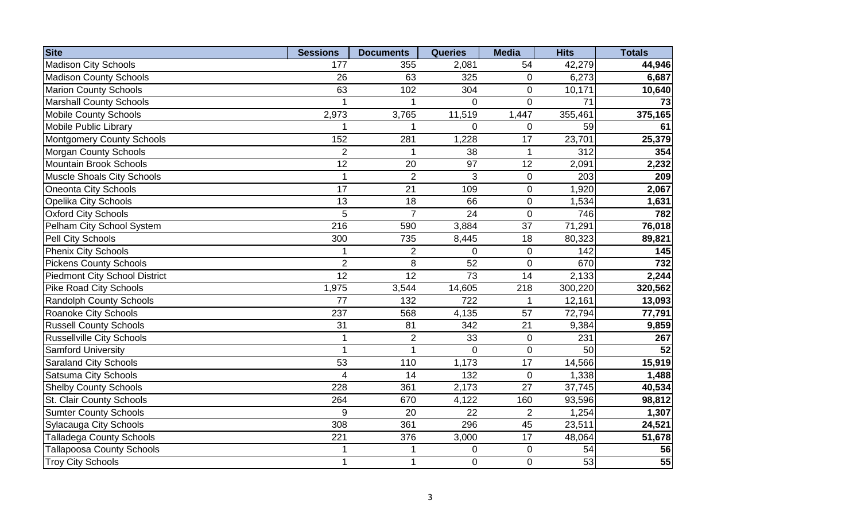| <b>Site</b>                          | <b>Sessions</b> | <b>Documents</b> | <b>Queries</b> | <b>Media</b>    | <b>Hits</b>      | <b>Totals</b> |
|--------------------------------------|-----------------|------------------|----------------|-----------------|------------------|---------------|
| <b>Madison City Schools</b>          | 177             | 355              | 2,081          | 54              | 42,279           | 44,946        |
| <b>Madison County Schools</b>        | 26              | 63               | 325            | $\mathbf 0$     | 6,273            | 6,687         |
| <b>Marion County Schools</b>         | 63              | 102              | 304            | $\mathbf 0$     | 10,171           | 10,640        |
| <b>Marshall County Schools</b>       |                 |                  | $\overline{0}$ | $\mathbf 0$     | $\overline{71}$  | 73            |
| <b>Mobile County Schools</b>         | 2,973           | 3,765            | 11,519         | 1,447           | 355,461          | 375,165       |
| <b>Mobile Public Library</b>         | 1               | 1                | $\overline{0}$ | $\overline{0}$  | 59               | 61            |
| <b>Montgomery County Schools</b>     | 152             | 281              | 1,228          | 17              | 23,701           | 25,379        |
| <b>Morgan County Schools</b>         | $\overline{2}$  |                  | 38             | 1               | $\overline{312}$ | 354           |
| <b>Mountain Brook Schools</b>        | 12              | 20               | 97             | 12              | 2,091            | 2,232         |
| <b>Muscle Shoals City Schools</b>    |                 | $\overline{2}$   | 3              | $\mathbf 0$     | 203              | 209           |
| <b>Oneonta City Schools</b>          | 17              | 21               | 109            | $\mathbf 0$     | 1,920            | 2,067         |
| <b>Opelika City Schools</b>          | $\overline{13}$ | $\overline{18}$  | 66             | $\mathbf 0$     | 1,534            | 1,631         |
| <b>Oxford City Schools</b>           | 5               | $\overline{7}$   | 24             | $\overline{0}$  | 746              | 782           |
| Pelham City School System            | 216             | 590              | 3,884          | 37              | 71,291           | 76,018        |
| <b>Pell City Schools</b>             | 300             | 735              | 8,445          | 18              | 80,323           | 89,821        |
| <b>Phenix City Schools</b>           |                 | $\overline{2}$   | $\mathbf 0$    | $\mathbf 0$     | 142              | 145           |
| <b>Pickens County Schools</b>        | $\overline{2}$  | 8                | 52             | $\mathbf 0$     | 670              | 732           |
| <b>Piedmont City School District</b> | 12              | 12               | 73             | 14              | 2,133            | 2,244         |
| <b>Pike Road City Schools</b>        | 1,975           | 3,544            | 14,605         | 218             | 300,220          | 320,562       |
| <b>Randolph County Schools</b>       | 77              | 132              | 722            |                 | 12,161           | 13,093        |
| <b>Roanoke City Schools</b>          | 237             | 568              | 4,135          | 57              | 72,794           | 77,791        |
| <b>Russell County Schools</b>        | 31              | 81               | 342            | 21              | 9,384            | 9,859         |
| <b>Russellville City Schools</b>     | 1               | $\overline{2}$   | 33             | $\mathbf 0$     | 231              | 267           |
| <b>Samford University</b>            | 1               |                  | $\overline{0}$ | $\mathbf 0$     | 50               | 52            |
| <b>Saraland City Schools</b>         | 53              | 110              | 1,173          | 17              | 14,566           | 15,919        |
| <b>Satsuma City Schools</b>          | 4               | 14               | 132            | $\pmb{0}$       | 1,338            | 1,488         |
| <b>Shelby County Schools</b>         | 228             | 361              | 2,173          | 27              | 37,745           | 40,534        |
| <b>St. Clair County Schools</b>      | 264             | 670              | 4,122          | 160             | 93,596           | 98,812        |
| <b>Sumter County Schools</b>         | 9               | 20               | 22             | $\overline{2}$  | 1,254            | 1,307         |
| <b>Sylacauga City Schools</b>        | 308             | 361              | 296            | $\overline{45}$ | 23,511           | 24,521        |
| <b>Talladega County Schools</b>      | 221             | 376              | 3,000          | 17              | 48,064           | 51,678        |
| <b>Tallapoosa County Schools</b>     |                 |                  | $\mathbf 0$    | $\mathbf 0$     | 54               | 56            |
| <b>Troy City Schools</b>             | 1               | $\mathbf{1}$     | $\overline{0}$ | $\overline{0}$  | 53               | 55            |